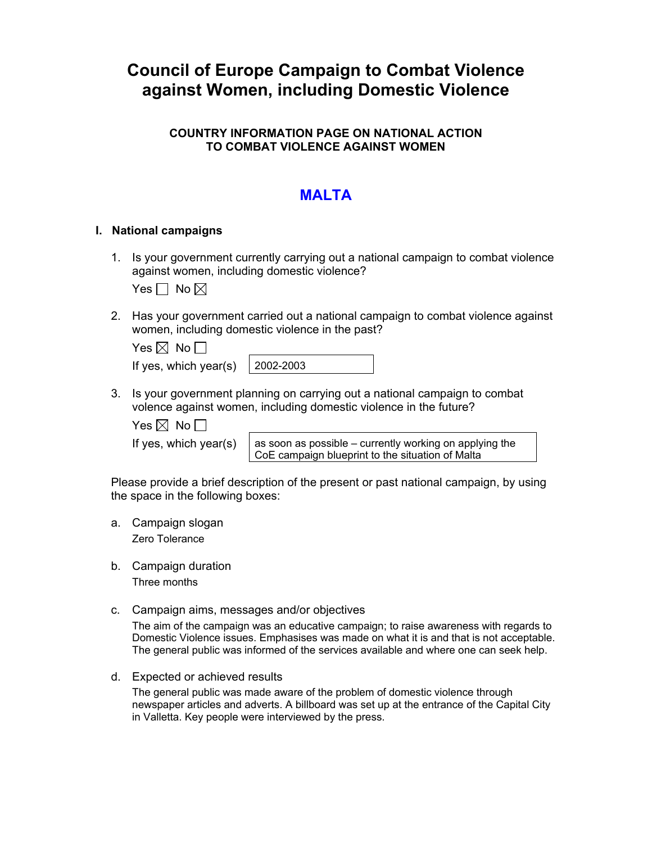# **Council of Europe Campaign to Combat Violence against Women, including Domestic Violence**

## **COUNTRY INFORMATION PAGE ON NATIONAL ACTION TO COMBAT VIOLENCE AGAINST WOMEN**

# **MAI TA**

### **I. National campaigns**

1. Is your government currently carrying out a national campaign to combat violence against women, including domestic violence?

Yes  $\Box$  No  $\boxtimes$ 

2. Has your government carried out a national campaign to combat violence against women, including domestic violence in the past?

| Yes $\boxtimes$ No $\Box$ |           |
|---------------------------|-----------|
| If yes, which year(s)     | 2002-2003 |

3. Is your government planning on carrying out a national campaign to combat volence against women, including domestic violence in the future?

Yes  $\boxtimes$  No  $\Box$ 

If yes, which year(s)  $\parallel$  as soon as possible – currently working on applying the CoE campaign blueprint to the situation of Malta

Please provide a brief description of the present or past national campaign, by using the space in the following boxes:

- a. Campaign slogan Zero Tolerance
- b. Campaign duration Three months
- c. Campaign aims, messages and/or objectives

The aim of the campaign was an educative campaign; to raise awareness with regards to Domestic Violence issues. Emphasises was made on what it is and that is not acceptable. The general public was informed of the services available and where one can seek help.

d. Expected or achieved results

The general public was made aware of the problem of domestic violence through newspaper articles and adverts. A billboard was set up at the entrance of the Capital City in Valletta. Key people were interviewed by the press.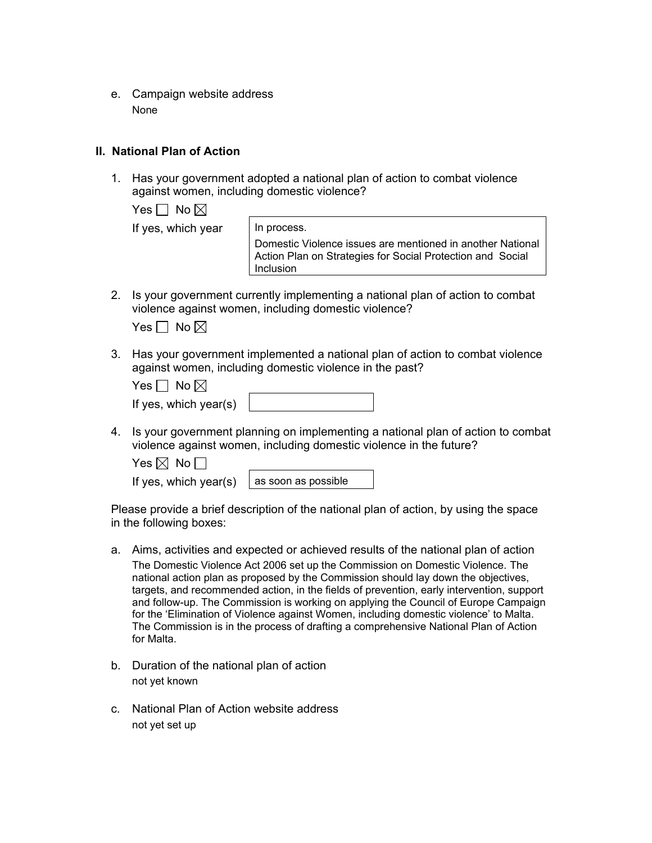e. Campaign website address None

#### **II. National Plan of Action**

1. Has your government adopted a national plan of action to combat violence against women, including domestic violence?

Yes  $\Box$  No  $\boxtimes$ 

If yes, which year  $\vert$  In process.

Domestic Violence issues are mentioned in another National Action Plan on Strategies for Social Protection and Social Inclusion

2. Is your government currently implementing a national plan of action to combat violence against women, including domestic violence?

| es l | No $\boxtimes$ |
|------|----------------|
|------|----------------|

3. Has your government implemented a national plan of action to combat violence against women, including domestic violence in the past?

| Yes $\Box$ No $\boxtimes$ |  |
|---------------------------|--|
| If yes, which year(s)     |  |

4. Is your government planning on implementing a national plan of action to combat violence against women, including domestic violence in the future?

Yes  $\boxtimes$  No  $\Box$ 

If yes, which year(s)  $\vert$  as soon as possible

Please provide a brief description of the national plan of action, by using the space in the following boxes:

- a. Aims, activities and expected or achieved results of the national plan of action The Domestic Violence Act 2006 set up the Commission on Domestic Violence. The national action plan as proposed by the Commission should lay down the objectives, targets, and recommended action, in the fields of prevention, early intervention, support and follow-up. The Commission is working on applying the Council of Europe Campaign for the 'Elimination of Violence against Women, including domestic violence' to Malta. The Commission is in the process of drafting a comprehensive National Plan of Action for Malta.
- b. Duration of the national plan of action not yet known
- c. National Plan of Action website address not yet set up